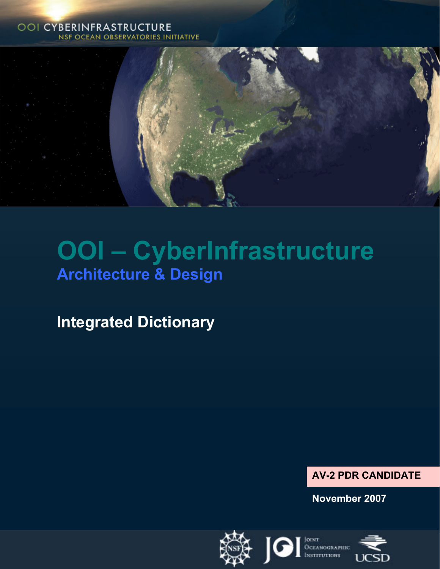#### **OOI CYBERINFRASTRUCTURE NSF OCEAN OBSERVATORIES INITIATIVE**



# **OOI – CyberInfrastructure Architecture & Design**

**Integrated Dictionary** 



**November 2007** 

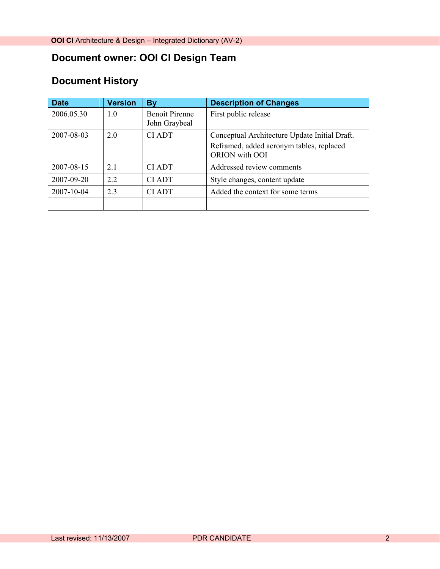# **Document owner: OOI CI Design Team**

# **Document History**

| <b>Date</b> | <b>Version</b> | By                              | <b>Description of Changes</b>                                                                               |
|-------------|----------------|---------------------------------|-------------------------------------------------------------------------------------------------------------|
| 2006.05.30  | 1.0            | Benoît Pirenne<br>John Graybeal | First public release                                                                                        |
| 2007-08-03  | 2.0            | <b>CIADT</b>                    | Conceptual Architecture Update Initial Draft.<br>Reframed, added acronym tables, replaced<br>ORION with OOI |
| 2007-08-15  | 2.1            | <b>CI ADT</b>                   | Addressed review comments                                                                                   |
| 2007-09-20  | 22             | <b>CIADT</b>                    | Style changes, content update                                                                               |
| 2007-10-04  | 23             | <b>CI ADT</b>                   | Added the context for some terms                                                                            |
|             |                |                                 |                                                                                                             |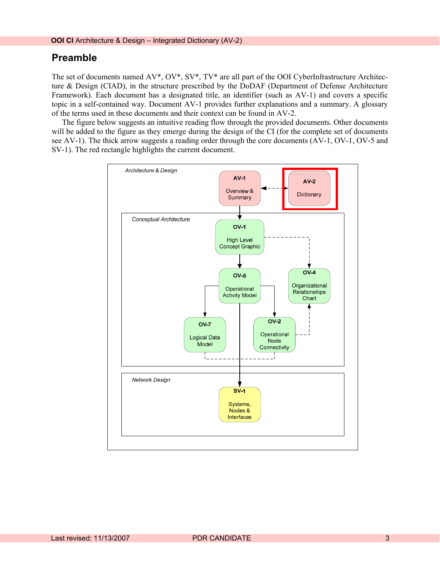#### **Preamble**

The set of documents named AV\*, OV\*, SV\*, TV\* are all part of the OOI CyberInfrastructure Architecture & Design (CIAD), in the structure prescribed by the DoDAF (Department of Defense Architecture Framework). Each document has a designated title, an identifier (such as AV-1) and covers a specific topic in a self-contained way. Document AV-1 provides further explanations and a summary. A glossary of the terms used in these documents and their context can be found in AV-2.

The figure below suggests an intuitive reading flow through the provided documents. Other documents will be added to the figure as they emerge during the design of the CI (for the complete set of documents see AV-1). The thick arrow suggests a reading order through the core documents (AV-1, OV-1, OV-5 and SV-1). The red rectangle highlights the current document.

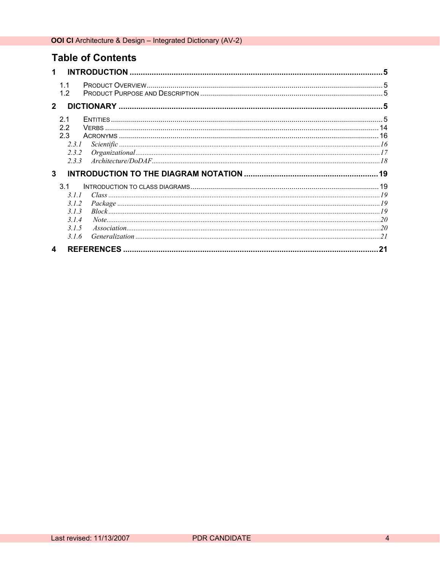# **Table of Contents**

| 1 |                                                      | 5                                                                                                                                                                                                                                                                                                                                    |
|---|------------------------------------------------------|--------------------------------------------------------------------------------------------------------------------------------------------------------------------------------------------------------------------------------------------------------------------------------------------------------------------------------------|
|   | 1.1<br>12                                            |                                                                                                                                                                                                                                                                                                                                      |
|   | $\overline{2}$                                       |                                                                                                                                                                                                                                                                                                                                      |
|   | 2.1<br>2.2<br>2.3<br>2.3.1<br>2.3.2<br>233           |                                                                                                                                                                                                                                                                                                                                      |
|   | 3                                                    |                                                                                                                                                                                                                                                                                                                                      |
|   |                                                      |                                                                                                                                                                                                                                                                                                                                      |
|   | 3.1<br>311<br>3.1.2<br>3.1.3<br>314<br>31.5<br>3.1.6 | Generalization $\ldots$ $\ldots$ $\ldots$ $\ldots$ $\ldots$ $\ldots$ $\ldots$ $\ldots$ $\ldots$ $\ldots$ $\ldots$ $\ldots$ $\ldots$ $\ldots$ $\ldots$ $\ldots$ $\ldots$ $\ldots$ $\ldots$ $\ldots$ $\ldots$ $\ldots$ $\ldots$ $\ldots$ $\ldots$ $\ldots$ $\ldots$ $\ldots$ $\ldots$ $\ldots$ $\ldots$ $\ldots$ $\ldots$ $\ldots$ $\$ |
|   | 4                                                    | 21                                                                                                                                                                                                                                                                                                                                   |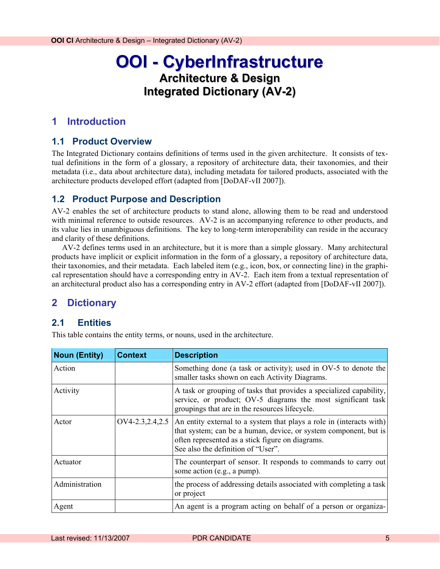# **OOI - CyberInfrastructure Architecture & Design Integrated Dictionary (AV-2)**

#### <span id="page-4-0"></span>**1 Introduction**

#### **1.1 Product Overview**

The Integrated Dictionary contains definitions of terms used in the given architecture. It consists of textual definitions in the form of a glossary, a repository of architecture data, their taxonomies, and their metadata (i.e., data about architecture data), including metadata for tailored products, associated with the architecture products developed effort (adapted from [DoDAF-vII 2007]).

#### **1.2 Product Purpose and Description**

AV-2 enables the set of architecture products to stand alone, allowing them to be read and understood with minimal reference to outside resources. AV-2 is an accompanying reference to other products, and its value lies in unambiguous definitions. The key to long-term interoperability can reside in the accuracy and clarity of these definitions.

AV-2 defines terms used in an architecture, but it is more than a simple glossary. Many architectural products have implicit or explicit information in the form of a glossary, a repository of architecture data, their taxonomies, and their metadata. Each labeled item (e.g., icon, box, or connecting line) in the graphical representation should have a corresponding entry in AV-2. Each item from a textual representation of an architectural product also has a corresponding entry in AV-2 effort (adapted from [DoDAF-vII 2007]).

#### **2 Dictionary**

#### **2.1 Entities**

This table contains the entity terms, or nouns, used in the architecture.

| <b>Noun (Entity)</b> | Context | <b>Description</b>                                                                                                                                                                                                                                     |
|----------------------|---------|--------------------------------------------------------------------------------------------------------------------------------------------------------------------------------------------------------------------------------------------------------|
| Action               |         | Something done (a task or activity); used in OV-5 to denote the<br>smaller tasks shown on each Activity Diagrams.                                                                                                                                      |
| Activity             |         | A task or grouping of tasks that provides a specialized capability,<br>service, or product; OV-5 diagrams the most significant task<br>groupings that are in the resources lifecycle.                                                                  |
| Actor                |         | $OVA-2.3, 2.4, 2.5$ An entity external to a system that plays a role in (interacts with)<br>that system; can be a human, device, or system component, but is<br>often represented as a stick figure on diagrams.<br>See also the definition of "User". |
| Actuator             |         | The counterpart of sensor. It responds to commands to carry out<br>some action (e.g., a pump).                                                                                                                                                         |
| Administration       |         | the process of addressing details associated with completing a task<br>or project                                                                                                                                                                      |
| Agent                |         | An agent is a program acting on behalf of a person or organiza-                                                                                                                                                                                        |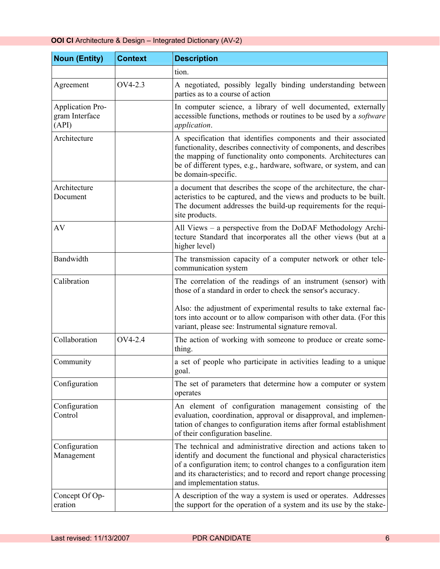| <b>OOI CI</b> Architecture & Design - Integrated Dictionary (AV-2) |  |  |  |  |
|--------------------------------------------------------------------|--|--|--|--|
|--------------------------------------------------------------------|--|--|--|--|

| <b>Noun (Entity)</b>                               | <b>Context</b> | <b>Description</b>                                                                                                                                                                                                                                                                                               |
|----------------------------------------------------|----------------|------------------------------------------------------------------------------------------------------------------------------------------------------------------------------------------------------------------------------------------------------------------------------------------------------------------|
|                                                    |                | tion.                                                                                                                                                                                                                                                                                                            |
| Agreement                                          | OV4-2.3        | A negotiated, possibly legally binding understanding between<br>parties as to a course of action                                                                                                                                                                                                                 |
| <b>Application Pro-</b><br>gram Interface<br>(API) |                | In computer science, a library of well documented, externally<br>accessible functions, methods or routines to be used by a software<br>application.                                                                                                                                                              |
| Architecture                                       |                | A specification that identifies components and their associated<br>functionality, describes connectivity of components, and describes<br>the mapping of functionality onto components. Architectures can<br>be of different types, e.g., hardware, software, or system, and can<br>be domain-specific.           |
| Architecture<br>Document                           |                | a document that describes the scope of the architecture, the char-<br>acteristics to be captured, and the views and products to be built.<br>The document addresses the build-up requirements for the requi-<br>site products.                                                                                   |
| AV                                                 |                | All Views – a perspective from the DoDAF Methodology Archi-<br>tecture Standard that incorporates all the other views (but at a<br>higher level)                                                                                                                                                                 |
| Bandwidth                                          |                | The transmission capacity of a computer network or other tele-<br>communication system                                                                                                                                                                                                                           |
| Calibration                                        |                | The correlation of the readings of an instrument (sensor) with<br>those of a standard in order to check the sensor's accuracy.                                                                                                                                                                                   |
|                                                    |                | Also: the adjustment of experimental results to take external fac-<br>tors into account or to allow comparison with other data. (For this<br>variant, please see: Instrumental signature removal.                                                                                                                |
| Collaboration                                      | OV4-2.4        | The action of working with someone to produce or create some-<br>thing.                                                                                                                                                                                                                                          |
| Community                                          |                | a set of people who participate in activities leading to a unique<br>goal.                                                                                                                                                                                                                                       |
| Configuration                                      |                | The set of parameters that determine how a computer or system<br>operates                                                                                                                                                                                                                                        |
| Configuration<br>Control                           |                | An element of configuration management consisting of the<br>evaluation, coordination, approval or disapproval, and implemen-<br>tation of changes to configuration items after formal establishment<br>of their configuration baseline.                                                                          |
| Configuration<br>Management                        |                | The technical and administrative direction and actions taken to<br>identify and document the functional and physical characteristics<br>of a configuration item; to control changes to a configuration item<br>and its characteristics; and to record and report change processing<br>and implementation status. |
| Concept Of Op-<br>eration                          |                | A description of the way a system is used or operates. Addresses<br>the support for the operation of a system and its use by the stake-                                                                                                                                                                          |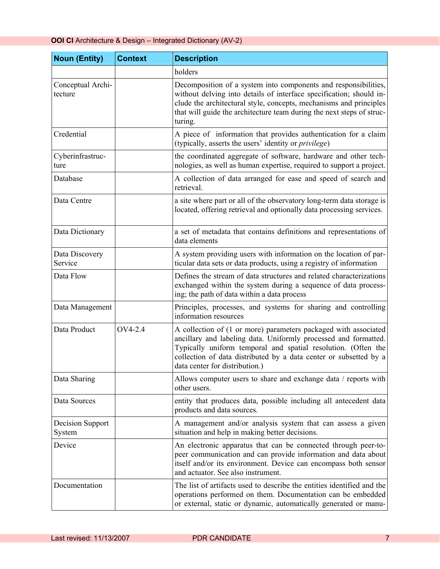| <b>Noun (Entity)</b>         | <b>Context</b> | <b>Description</b>                                                                                                                                                                                                                                                                                         |
|------------------------------|----------------|------------------------------------------------------------------------------------------------------------------------------------------------------------------------------------------------------------------------------------------------------------------------------------------------------------|
|                              |                | holders                                                                                                                                                                                                                                                                                                    |
| Conceptual Archi-<br>tecture |                | Decomposition of a system into components and responsibilities,<br>without delving into details of interface specification; should in-<br>clude the architectural style, concepts, mechanisms and principles<br>that will guide the architecture team during the next steps of struc-<br>turing.           |
| Credential                   |                | A piece of information that provides authentication for a claim<br>(typically, asserts the users' identity or <i>privilege</i> )                                                                                                                                                                           |
| Cyberinfrastruc-<br>ture     |                | the coordinated aggregate of software, hardware and other tech-<br>nologies, as well as human expertise, required to support a project.                                                                                                                                                                    |
| Database                     |                | A collection of data arranged for ease and speed of search and<br>retrieval.                                                                                                                                                                                                                               |
| Data Centre                  |                | a site where part or all of the observatory long-term data storage is<br>located, offering retrieval and optionally data processing services.                                                                                                                                                              |
| Data Dictionary              |                | a set of metadata that contains definitions and representations of<br>data elements                                                                                                                                                                                                                        |
| Data Discovery<br>Service    |                | A system providing users with information on the location of par-<br>ticular data sets or data products, using a registry of information                                                                                                                                                                   |
| Data Flow                    |                | Defines the stream of data structures and related characterizations<br>exchanged within the system during a sequence of data process-<br>ing; the path of data within a data process                                                                                                                       |
| Data Management              |                | Principles, processes, and systems for sharing and controlling<br>information resources                                                                                                                                                                                                                    |
| Data Product                 | OV4-2.4        | A collection of (1 or more) parameters packaged with associated<br>ancillary and labeling data. Uniformly processed and formatted.<br>Typically uniform temporal and spatial resolution. (Often the<br>collection of data distributed by a data center or subsetted by a<br>data center for distribution.) |
| Data Sharing                 |                | Allows computer users to share and exchange data / reports with<br>other users.                                                                                                                                                                                                                            |
| Data Sources                 |                | entity that produces data, possible including all antecedent data<br>products and data sources.                                                                                                                                                                                                            |
| Decision Support<br>System   |                | A management and/or analysis system that can assess a given<br>situation and help in making better decisions.                                                                                                                                                                                              |
| Device                       |                | An electronic apparatus that can be connected through peer-to-<br>peer communication and can provide information and data about<br>itself and/or its environment. Device can encompass both sensor<br>and actuator. See also instrument.                                                                   |
| Documentation                |                | The list of artifacts used to describe the entities identified and the<br>operations performed on them. Documentation can be embedded<br>or external, static or dynamic, automatically generated or manu-                                                                                                  |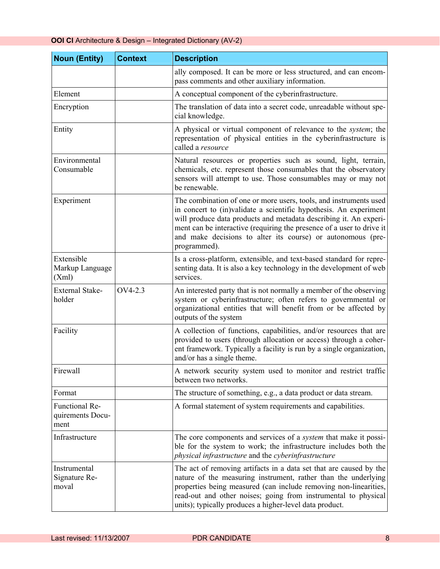| <b>Noun (Entity)</b>                       | <b>Context</b> | <b>Description</b>                                                                                                                                                                                                                                                                                                                                                  |
|--------------------------------------------|----------------|---------------------------------------------------------------------------------------------------------------------------------------------------------------------------------------------------------------------------------------------------------------------------------------------------------------------------------------------------------------------|
|                                            |                | ally composed. It can be more or less structured, and can encom-<br>pass comments and other auxiliary information.                                                                                                                                                                                                                                                  |
| Element                                    |                | A conceptual component of the cyberinfrastructure.                                                                                                                                                                                                                                                                                                                  |
| Encryption                                 |                | The translation of data into a secret code, unreadable without spe-<br>cial knowledge.                                                                                                                                                                                                                                                                              |
| Entity                                     |                | A physical or virtual component of relevance to the system; the<br>representation of physical entities in the cyberinfrastructure is<br>called a resource                                                                                                                                                                                                           |
| Environmental<br>Consumable                |                | Natural resources or properties such as sound, light, terrain,<br>chemicals, etc. represent those consumables that the observatory<br>sensors will attempt to use. Those consumables may or may not<br>be renewable.                                                                                                                                                |
| Experiment                                 |                | The combination of one or more users, tools, and instruments used<br>in concert to (in)validate a scientific hypothesis. An experiment<br>will produce data products and metadata describing it. An experi-<br>ment can be interactive (requiring the presence of a user to drive it<br>and make decisions to alter its course) or autonomous (pre-<br>programmed). |
| Extensible<br>Markup Language<br>(Xml)     |                | Is a cross-platform, extensible, and text-based standard for repre-<br>senting data. It is also a key technology in the development of web<br>services.                                                                                                                                                                                                             |
| <b>External Stake-</b><br>holder           | OV4-2.3        | An interested party that is not normally a member of the observing<br>system or cyberinfrastructure; often refers to governmental or<br>organizational entities that will benefit from or be affected by<br>outputs of the system                                                                                                                                   |
| Facility                                   |                | A collection of functions, capabilities, and/or resources that are<br>provided to users (through allocation or access) through a coher-<br>ent framework. Typically a facility is run by a single organization,<br>and/or has a single theme.                                                                                                                       |
| Firewall                                   |                | A network security system used to monitor and restrict traffic<br>between two networks.                                                                                                                                                                                                                                                                             |
| Format                                     |                | The structure of something, e.g., a data product or data stream.                                                                                                                                                                                                                                                                                                    |
| Functional Re-<br>quirements Docu-<br>ment |                | A formal statement of system requirements and capabilities.                                                                                                                                                                                                                                                                                                         |
| Infrastructure                             |                | The core components and services of a <i>system</i> that make it possi-<br>ble for the system to work; the infrastructure includes both the<br>physical infrastructure and the cyberinfrastructure                                                                                                                                                                  |
| Instrumental<br>Signature Re-<br>moval     |                | The act of removing artifacts in a data set that are caused by the<br>nature of the measuring instrument, rather than the underlying<br>properties being measured (can include removing non-linearities,<br>read-out and other noises; going from instrumental to physical<br>units); typically produces a higher-level data product.                               |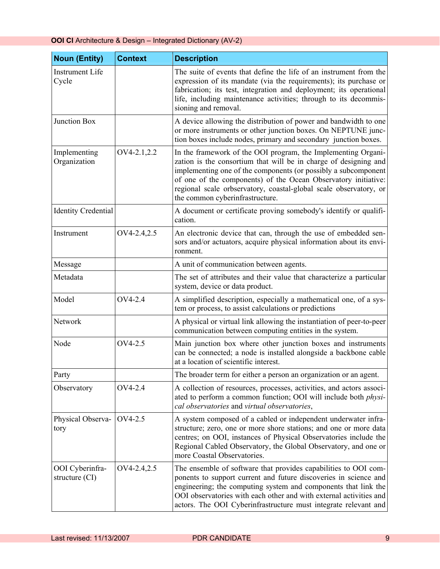| <b>Noun (Entity)</b>                           | <b>Context</b> | <b>Description</b>                                                                                                                                                                                                                                                                                                                                                            |
|------------------------------------------------|----------------|-------------------------------------------------------------------------------------------------------------------------------------------------------------------------------------------------------------------------------------------------------------------------------------------------------------------------------------------------------------------------------|
| Instrument Life<br>Cycle                       |                | The suite of events that define the life of an instrument from the<br>expression of its mandate (via the requirements); its purchase or<br>fabrication; its test, integration and deployment; its operational<br>life, including maintenance activities; through to its decommis-<br>sioning and removal.                                                                     |
| Junction Box                                   |                | A device allowing the distribution of power and bandwidth to one<br>or more instruments or other junction boxes. On NEPTUNE junc-<br>tion boxes include nodes, primary and secondary junction boxes.                                                                                                                                                                          |
| Implementing<br>Organization                   | OV4-2.1,2.2    | In the framework of the OOI program, the Implementing Organi-<br>zation is the consortium that will be in charge of designing and<br>implementing one of the components (or possibly a subcomponent<br>of one of the components) of the Ocean Observatory initiative:<br>regional scale orbservatory, coastal-global scale observatory, or<br>the common cyberinfrastructure. |
| <b>Identity Credential</b>                     |                | A document or certificate proving somebody's identify or qualifi-<br>cation.                                                                                                                                                                                                                                                                                                  |
| Instrument                                     | OV4-2.4,2.5    | An electronic device that can, through the use of embedded sen-<br>sors and/or actuators, acquire physical information about its envi-<br>ronment.                                                                                                                                                                                                                            |
| Message                                        |                | A unit of communication between agents.                                                                                                                                                                                                                                                                                                                                       |
| Metadata                                       |                | The set of attributes and their value that characterize a particular<br>system, device or data product.                                                                                                                                                                                                                                                                       |
| Model                                          | OV4-2.4        | A simplified description, especially a mathematical one, of a sys-<br>tem or process, to assist calculations or predictions                                                                                                                                                                                                                                                   |
| Network                                        |                | A physical or virtual link allowing the instantiation of peer-to-peer<br>communication between computing entities in the system.                                                                                                                                                                                                                                              |
| Node                                           | OV4-2.5        | Main junction box where other junction boxes and instruments<br>can be connected; a node is installed alongside a backbone cable<br>at a location of scientific interest.                                                                                                                                                                                                     |
| Party                                          |                | The broader term for either a person an organization or an agent.                                                                                                                                                                                                                                                                                                             |
| Observatory                                    | OV4-2.4        | A collection of resources, processes, activities, and actors associ-<br>ated to perform a common function; OOI will include both physi-<br>cal observatories and virtual observatories,                                                                                                                                                                                       |
| Physical Observa-<br>tory                      | OV4-2.5        | A system composed of a cabled or independent underwater infra-<br>structure; zero, one or more shore stations; and one or more data<br>centres; on OOI, instances of Physical Observatories include the<br>Regional Cabled Observatory, the Global Observatory, and one or<br>more Coastal Observatories.                                                                     |
| OOI Cyberinfra-<br>structure $\left(CI\right)$ | OV4-2.4,2.5    | The ensemble of software that provides capabilities to OOI com-<br>ponents to support current and future discoveries in science and<br>engineering; the computing system and components that link the<br>OOI observatories with each other and with external activities and<br>actors. The OOI Cyberinfrastructure must integrate relevant and                                |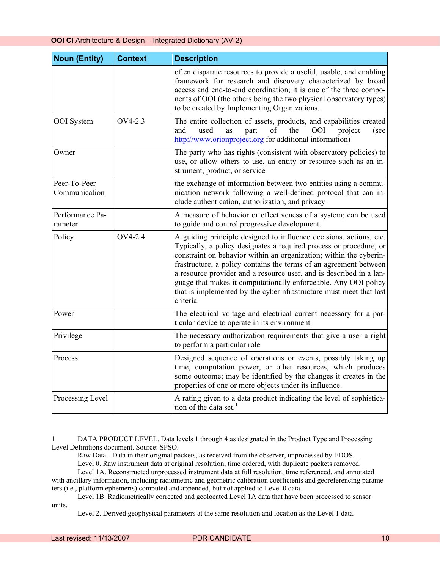| <b>Noun (Entity)</b>          | <b>Context</b> | <b>Description</b>                                                                                                                                                                                                                                                                                                                                                                                                                                                                                               |
|-------------------------------|----------------|------------------------------------------------------------------------------------------------------------------------------------------------------------------------------------------------------------------------------------------------------------------------------------------------------------------------------------------------------------------------------------------------------------------------------------------------------------------------------------------------------------------|
|                               |                | often disparate resources to provide a useful, usable, and enabling<br>framework for research and discovery characterized by broad<br>access and end-to-end coordination; it is one of the three compo-<br>nents of OOI (the others being the two physical observatory types)<br>to be created by Implementing Organizations.                                                                                                                                                                                    |
| OOI System                    | OV4-2.3        | The entire collection of assets, products, and capabilities created<br>of<br><b>OOI</b><br>used<br>part<br>the<br>project<br>and<br>as<br>(see<br>http://www.orionproject.org for additional information)                                                                                                                                                                                                                                                                                                        |
| Owner                         |                | The party who has rights (consistent with observatory policies) to<br>use, or allow others to use, an entity or resource such as an in-<br>strument, product, or service                                                                                                                                                                                                                                                                                                                                         |
| Peer-To-Peer<br>Communication |                | the exchange of information between two entities using a commu-<br>nication network following a well-defined protocol that can in-<br>clude authentication, authorization, and privacy                                                                                                                                                                                                                                                                                                                           |
| Performance Pa-<br>rameter    |                | A measure of behavior or effectiveness of a system; can be used<br>to guide and control progressive development.                                                                                                                                                                                                                                                                                                                                                                                                 |
| Policy                        | OV4-2.4        | A guiding principle designed to influence decisions, actions, etc.<br>Typically, a policy designates a required process or procedure, or<br>constraint on behavior within an organization; within the cyberin-<br>frastructure, a policy contains the terms of an agreement between<br>a resource provider and a resource user, and is described in a lan-<br>guage that makes it computationally enforceable. Any OOI policy<br>that is implemented by the cyberinfrastructure must meet that last<br>criteria. |
| Power                         |                | The electrical voltage and electrical current necessary for a par-<br>ticular device to operate in its environment                                                                                                                                                                                                                                                                                                                                                                                               |
| Privilege                     |                | The necessary authorization requirements that give a user a right<br>to perform a particular role                                                                                                                                                                                                                                                                                                                                                                                                                |
| Process                       |                | Designed sequence of operations or events, possibly taking up<br>time, computation power, or other resources, which produces<br>some outcome; may be identified by the changes it creates in the<br>properties of one or more objects under its influence.                                                                                                                                                                                                                                                       |
| Processing Level              |                | A rating given to a data product indicating the level of sophistica-<br>tion of the data set. <sup>1</sup>                                                                                                                                                                                                                                                                                                                                                                                                       |

<span id="page-9-0"></span><sup>1</sup> DATA PRODUCT LEVEL. Data levels 1 through 4 as designated in the Product Type and Processing Level Definitions document. Source: SPSO.

l

Raw Data - Data in their original packets, as received from the observer, unprocessed by EDOS.

Level 0. Raw instrument data at original resolution, time ordered, with duplicate packets removed. Level 1A. Reconstructed unprocessed instrument data at full resolution, time referenced, and annotated with ancillary information, including radiometric and geometric calibration coefficients and georeferencing parame-

ters (i.e., platform ephemeris) computed and appended, but not applied to Level 0 data.

Level 1B. Radiometrically corrected and geolocated Level 1A data that have been processed to sensor units.

Level 2. Derived geophysical parameters at the same resolution and location as the Level 1 data.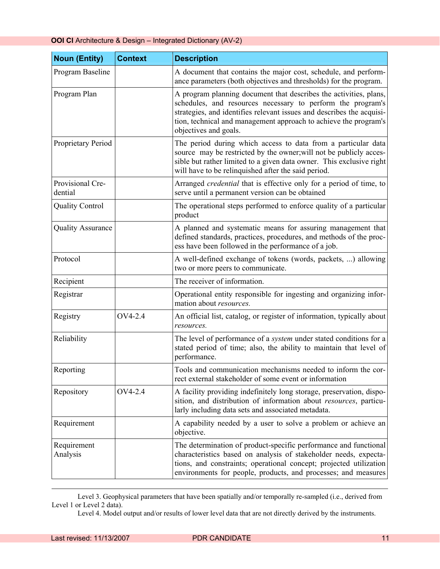| <b>Noun (Entity)</b>        | <b>Context</b> | <b>Description</b>                                                                                                                                                                                                                                                                                     |
|-----------------------------|----------------|--------------------------------------------------------------------------------------------------------------------------------------------------------------------------------------------------------------------------------------------------------------------------------------------------------|
| Program Baseline            |                | A document that contains the major cost, schedule, and perform-<br>ance parameters (both objectives and thresholds) for the program.                                                                                                                                                                   |
| Program Plan                |                | A program planning document that describes the activities, plans,<br>schedules, and resources necessary to perform the program's<br>strategies, and identifies relevant issues and describes the acquisi-<br>tion, technical and management approach to achieve the program's<br>objectives and goals. |
| Proprietary Period          |                | The period during which access to data from a particular data<br>source may be restricted by the owner; will not be publicly acces-<br>sible but rather limited to a given data owner. This exclusive right<br>will have to be relinquished after the said period.                                     |
| Provisional Cre-<br>dential |                | Arranged <i>credential</i> that is effective only for a period of time, to<br>serve until a permanent version can be obtained                                                                                                                                                                          |
| <b>Quality Control</b>      |                | The operational steps performed to enforce quality of a particular<br>product                                                                                                                                                                                                                          |
| <b>Quality Assurance</b>    |                | A planned and systematic means for assuring management that<br>defined standards, practices, procedures, and methods of the proc-<br>ess have been followed in the performance of a job.                                                                                                               |
| Protocol                    |                | A well-defined exchange of tokens (words, packets, ) allowing<br>two or more peers to communicate.                                                                                                                                                                                                     |
| Recipient                   |                | The receiver of information.                                                                                                                                                                                                                                                                           |
| Registrar                   |                | Operational entity responsible for ingesting and organizing infor-<br>mation about resources.                                                                                                                                                                                                          |
| Registry                    | OV4-2.4        | An official list, catalog, or register of information, typically about<br>resources.                                                                                                                                                                                                                   |
| Reliability                 |                | The level of performance of a <i>system</i> under stated conditions for a<br>stated period of time; also, the ability to maintain that level of<br>performance.                                                                                                                                        |
| Reporting                   |                | Tools and communication mechanisms needed to inform the cor-<br>rect external stakeholder of some event or information                                                                                                                                                                                 |
| Repository                  | OV4-2.4        | A facility providing indefinitely long storage, preservation, dispo-<br>sition, and distribution of information about resources, particu-<br>larly including data sets and associated metadata.                                                                                                        |
| Requirement                 |                | A capability needed by a user to solve a problem or achieve an<br>objective.                                                                                                                                                                                                                           |
| Requirement<br>Analysis     |                | The determination of product-specific performance and functional<br>characteristics based on analysis of stakeholder needs, expecta-<br>tions, and constraints; operational concept; projected utilization<br>environments for people, products, and processes; and measures                           |

Level 3. Geophysical parameters that have been spatially and/or temporally re-sampled (i.e., derived from Level 1 or Level 2 data).

l

Level 4. Model output and/or results of lower level data that are not directly derived by the instruments.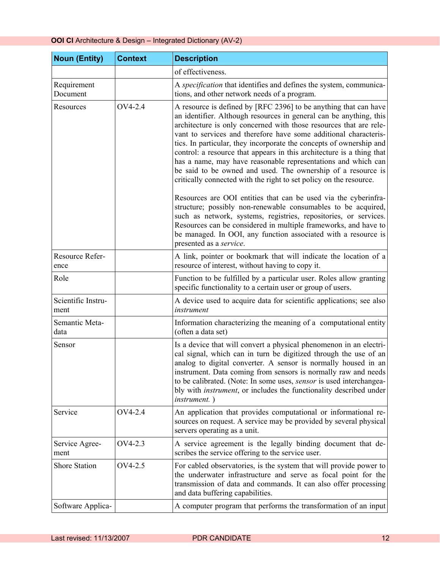| <b>Noun (Entity)</b>       | <b>Context</b> | <b>Description</b>                                                                                                                                                                                                                                                                                                                                                                                                                                                                                                                                                                                                                                                                                         |
|----------------------------|----------------|------------------------------------------------------------------------------------------------------------------------------------------------------------------------------------------------------------------------------------------------------------------------------------------------------------------------------------------------------------------------------------------------------------------------------------------------------------------------------------------------------------------------------------------------------------------------------------------------------------------------------------------------------------------------------------------------------------|
|                            |                | of effectiveness.                                                                                                                                                                                                                                                                                                                                                                                                                                                                                                                                                                                                                                                                                          |
| Requirement<br>Document    |                | A specification that identifies and defines the system, communica-<br>tions, and other network needs of a program.                                                                                                                                                                                                                                                                                                                                                                                                                                                                                                                                                                                         |
| Resources                  | OV4-2.4        | A resource is defined by [RFC 2396] to be anything that can have<br>an identifier. Although resources in general can be anything, this<br>architecture is only concerned with those resources that are rele-<br>vant to services and therefore have some additional characteris-<br>tics. In particular, they incorporate the concepts of ownership and<br>control: a resource that appears in this architecture is a thing that<br>has a name, may have reasonable representations and which can<br>be said to be owned and used. The ownership of a resource is<br>critically connected with the right to set policy on the resource.<br>Resources are OOI entities that can be used via the cyberinfra- |
|                            |                | structure; possibly non-renewable consumables to be acquired,<br>such as network, systems, registries, repositories, or services.<br>Resources can be considered in multiple frameworks, and have to<br>be managed. In OOI, any function associated with a resource is<br>presented as a service.                                                                                                                                                                                                                                                                                                                                                                                                          |
| Resource Refer-<br>ence    |                | A link, pointer or bookmark that will indicate the location of a<br>resource of interest, without having to copy it.                                                                                                                                                                                                                                                                                                                                                                                                                                                                                                                                                                                       |
| Role                       |                | Function to be fulfilled by a particular user. Roles allow granting<br>specific functionality to a certain user or group of users.                                                                                                                                                                                                                                                                                                                                                                                                                                                                                                                                                                         |
| Scientific Instru-<br>ment |                | A device used to acquire data for scientific applications; see also<br>instrument                                                                                                                                                                                                                                                                                                                                                                                                                                                                                                                                                                                                                          |
| Semantic Meta-<br>data     |                | Information characterizing the meaning of a computational entity<br>(often a data set)                                                                                                                                                                                                                                                                                                                                                                                                                                                                                                                                                                                                                     |
| Sensor                     |                | Is a device that will convert a physical phenomenon in an electri-<br>cal signal, which can in turn be digitized through the use of an<br>analog to digital converter. A sensor is normally housed in an<br>instrument. Data coming from sensors is normally raw and needs<br>to be calibrated. (Note: In some uses, sensor is used interchangea-<br>bly with <i>instrument</i> , or includes the functionality described under<br><i>instrument.</i> )                                                                                                                                                                                                                                                    |
| Service                    | OV4-2.4        | An application that provides computational or informational re-<br>sources on request. A service may be provided by several physical<br>servers operating as a unit.                                                                                                                                                                                                                                                                                                                                                                                                                                                                                                                                       |
| Service Agree-<br>ment     | OV4-2.3        | A service agreement is the legally binding document that de-<br>scribes the service offering to the service user.                                                                                                                                                                                                                                                                                                                                                                                                                                                                                                                                                                                          |
| <b>Shore Station</b>       | OV4-2.5        | For cabled observatories, is the system that will provide power to<br>the underwater infrastructure and serve as focal point for the<br>transmission of data and commands. It can also offer processing<br>and data buffering capabilities.                                                                                                                                                                                                                                                                                                                                                                                                                                                                |
| Software Applica-          |                | A computer program that performs the transformation of an input                                                                                                                                                                                                                                                                                                                                                                                                                                                                                                                                                                                                                                            |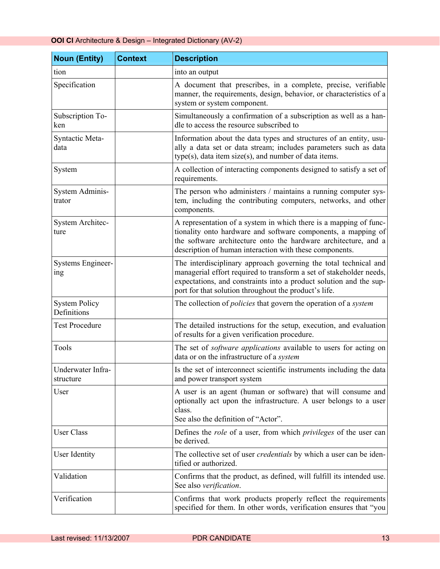| <b>Noun (Entity)</b>                | <b>Context</b> | <b>Description</b>                                                                                                                                                                                                                                                     |
|-------------------------------------|----------------|------------------------------------------------------------------------------------------------------------------------------------------------------------------------------------------------------------------------------------------------------------------------|
| tion                                |                | into an output                                                                                                                                                                                                                                                         |
| Specification                       |                | A document that prescribes, in a complete, precise, verifiable<br>manner, the requirements, design, behavior, or characteristics of a<br>system or system component.                                                                                                   |
| Subscription To-<br>ken             |                | Simultaneously a confirmation of a subscription as well as a han-<br>dle to access the resource subscribed to                                                                                                                                                          |
| Syntactic Meta-<br>data             |                | Information about the data types and structures of an entity, usu-<br>ally a data set or data stream; includes parameters such as data<br>$type(s)$ , data item size $(s)$ , and number of data items.                                                                 |
| System                              |                | A collection of interacting components designed to satisfy a set of<br>requirements.                                                                                                                                                                                   |
| System Adminis-<br>trator           |                | The person who administers / maintains a running computer sys-<br>tem, including the contributing computers, networks, and other<br>components.                                                                                                                        |
| System Architec-<br>ture            |                | A representation of a system in which there is a mapping of func-<br>tionality onto hardware and software components, a mapping of<br>the software architecture onto the hardware architecture, and a<br>description of human interaction with these components.       |
| Systems Engineer-<br>ing            |                | The interdisciplinary approach governing the total technical and<br>managerial effort required to transform a set of stakeholder needs,<br>expectations, and constraints into a product solution and the sup-<br>port for that solution throughout the product's life. |
| <b>System Policy</b><br>Definitions |                | The collection of <i>policies</i> that govern the operation of a system                                                                                                                                                                                                |
| <b>Test Procedure</b>               |                | The detailed instructions for the setup, execution, and evaluation<br>of results for a given verification procedure.                                                                                                                                                   |
| Tools                               |                | The set of <i>software applications</i> available to users for acting on<br>data or on the infrastructure of a system                                                                                                                                                  |
| Underwater Infra-<br>structure      |                | Is the set of interconnect scientific instruments including the data<br>and power transport system                                                                                                                                                                     |
| User                                |                | A user is an agent (human or software) that will consume and<br>optionally act upon the infrastructure. A user belongs to a user<br>class.<br>See also the definition of "Actor".                                                                                      |
| <b>User Class</b>                   |                | Defines the <i>role</i> of a user, from which <i>privileges</i> of the user can<br>be derived.                                                                                                                                                                         |
| User Identity                       |                | The collective set of user <i>credentials</i> by which a user can be iden-<br>tified or authorized.                                                                                                                                                                    |
| Validation                          |                | Confirms that the product, as defined, will fulfill its intended use.<br>See also verification.                                                                                                                                                                        |
| Verification                        |                | Confirms that work products properly reflect the requirements<br>specified for them. In other words, verification ensures that "you                                                                                                                                    |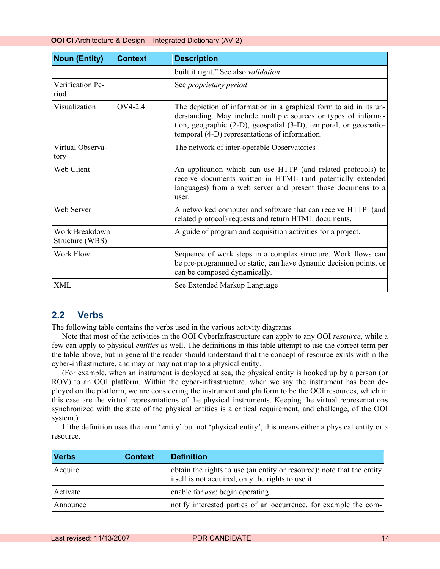<span id="page-13-0"></span>

| <b>Noun (Entity)</b>              | <b>Context</b> | <b>Description</b>                                                                                                                                                                                                                                          |
|-----------------------------------|----------------|-------------------------------------------------------------------------------------------------------------------------------------------------------------------------------------------------------------------------------------------------------------|
|                                   |                | built it right." See also <i>validation</i> .                                                                                                                                                                                                               |
| Verification Pe-<br>riod          |                | See proprietary period                                                                                                                                                                                                                                      |
| Visualization                     | $OVA-2.4$      | The depiction of information in a graphical form to aid in its un-<br>derstanding. May include multiple sources or types of informa-<br>tion, geographic (2-D), geospatial (3-D), temporal, or geospatio-<br>temporal (4-D) representations of information. |
| Virtual Observa-<br>tory          |                | The network of inter-operable Observatories                                                                                                                                                                                                                 |
| Web Client                        |                | An application which can use HTTP (and related protocols) to<br>receive documents written in HTML (and potentially extended<br>languages) from a web server and present those documens to a<br>user.                                                        |
| Web Server                        |                | A networked computer and software that can receive HTTP (and<br>related protocol) requests and return HTML documents.                                                                                                                                       |
| Work Breakdown<br>Structure (WBS) |                | A guide of program and acquisition activities for a project.                                                                                                                                                                                                |
| Work Flow                         |                | Sequence of work steps in a complex structure. Work flows can<br>be pre-programmed or static, can have dynamic decision points, or<br>can be composed dynamically.                                                                                          |
| <b>XML</b>                        |                | See Extended Markup Language                                                                                                                                                                                                                                |

#### **2.2 Verbs**

The following table contains the verbs used in the various activity diagrams.

Note that most of the activities in the OOI CyberInfrastructure can apply to any OOI *resource*, while a few can apply to physical *entities* as well. The definitions in this table attempt to use the correct term per the table above, but in general the reader should understand that the concept of resource exists within the cyber-infrastructure, and may or may not map to a physical entity.

(For example, when an instrument is deployed at sea, the physical entity is hooked up by a person (or ROV) to an OOI platform. Within the cyber-infrastructure, when we say the instrument has been deployed on the platform, we are considering the instrument and platform to be the OOI resources, which in this case are the virtual representations of the physical instruments. Keeping the virtual representations synchronized with the state of the physical entities is a critical requirement, and challenge, of the OOI system.)

If the definition uses the term 'entity' but not 'physical entity', this means either a physical entity or a resource.

| <b>Verbs</b> | <b>Context</b> | <b>Definition</b>                                                                                                           |
|--------------|----------------|-----------------------------------------------------------------------------------------------------------------------------|
| Acquire      |                | obtain the rights to use (an entity or resource); note that the entity<br>itself is not acquired, only the rights to use it |
| Activate     |                | enable for <i>use</i> ; begin operating                                                                                     |
| Announce     |                | notify interested parties of an occurrence, for example the com-                                                            |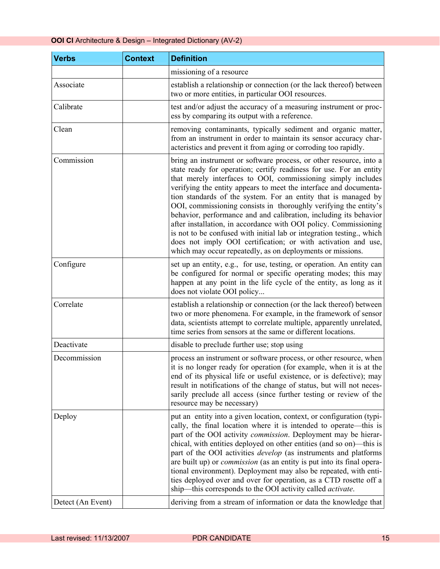| <b>Verbs</b>      | <b>Context</b> | <b>Definition</b>                                                                                                                                                                                                                                                                                                                                                                                                                                                                                                                                                                                                                                                                                                                                                     |
|-------------------|----------------|-----------------------------------------------------------------------------------------------------------------------------------------------------------------------------------------------------------------------------------------------------------------------------------------------------------------------------------------------------------------------------------------------------------------------------------------------------------------------------------------------------------------------------------------------------------------------------------------------------------------------------------------------------------------------------------------------------------------------------------------------------------------------|
|                   |                | missioning of a resource                                                                                                                                                                                                                                                                                                                                                                                                                                                                                                                                                                                                                                                                                                                                              |
| Associate         |                | establish a relationship or connection (or the lack thereof) between<br>two or more entities, in particular OOI resources.                                                                                                                                                                                                                                                                                                                                                                                                                                                                                                                                                                                                                                            |
| Calibrate         |                | test and/or adjust the accuracy of a measuring instrument or proc-<br>ess by comparing its output with a reference.                                                                                                                                                                                                                                                                                                                                                                                                                                                                                                                                                                                                                                                   |
| Clean             |                | removing contaminants, typically sediment and organic matter,<br>from an instrument in order to maintain its sensor accuracy char-<br>acteristics and prevent it from aging or corroding too rapidly.                                                                                                                                                                                                                                                                                                                                                                                                                                                                                                                                                                 |
| Commission        |                | bring an instrument or software process, or other resource, into a<br>state ready for operation; certify readiness for use. For an entity<br>that merely interfaces to OOI, commissioning simply includes<br>verifying the entity appears to meet the interface and documenta-<br>tion standards of the system. For an entity that is managed by<br>OOI, commissioning consists in thoroughly verifying the entity's<br>behavior, performance and and calibration, including its behavior<br>after installation, in accordance with OOI policy. Commissioning<br>is not to be confused with initial lab or integration testing., which<br>does not imply OOI certification; or with activation and use,<br>which may occur repeatedly, as on deployments or missions. |
| Configure         |                | set up an entity, e.g., for use, testing, or operation. An entity can<br>be configured for normal or specific operating modes; this may<br>happen at any point in the life cycle of the entity, as long as it<br>does not violate OOI policy                                                                                                                                                                                                                                                                                                                                                                                                                                                                                                                          |
| Correlate         |                | establish a relationship or connection (or the lack thereof) between<br>two or more phenomena. For example, in the framework of sensor<br>data, scientists attempt to correlate multiple, apparently unrelated,<br>time series from sensors at the same or different locations.                                                                                                                                                                                                                                                                                                                                                                                                                                                                                       |
| Deactivate        |                | disable to preclude further use; stop using                                                                                                                                                                                                                                                                                                                                                                                                                                                                                                                                                                                                                                                                                                                           |
| Decommission      |                | process an instrument or software process, or other resource, when<br>it is no longer ready for operation (for example, when it is at the<br>end of its physical life or useful existence, or is defective); may<br>result in notifications of the change of status, but will not neces-<br>sarily preclude all access (since further testing or review of the<br>resource may be necessary)                                                                                                                                                                                                                                                                                                                                                                          |
| Deploy            |                | put an entity into a given location, context, or configuration (typi-<br>cally, the final location where it is intended to operate—this is<br>part of the OOI activity <i>commission</i> . Deployment may be hierar-<br>chical, with entities deployed on other entities (and so on)—this is<br>part of the OOI activities <i>develop</i> (as instruments and platforms<br>are built up) or <i>commission</i> (as an entity is put into its final opera-<br>tional environment). Deployment may also be repeated, with enti-<br>ties deployed over and over for operation, as a CTD rosette off a<br>ship—this corresponds to the OOI activity called <i>activate</i> .                                                                                               |
| Detect (An Event) |                | deriving from a stream of information or data the knowledge that                                                                                                                                                                                                                                                                                                                                                                                                                                                                                                                                                                                                                                                                                                      |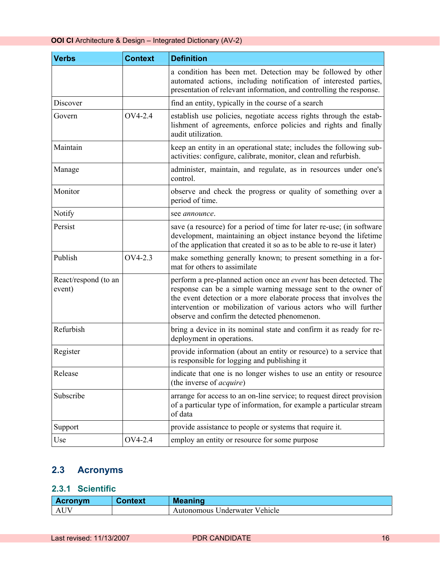<span id="page-15-0"></span>

| <b>Verbs</b>                   | <b>Context</b> | <b>Definition</b>                                                                                                                                                                                                                                                                                                                 |
|--------------------------------|----------------|-----------------------------------------------------------------------------------------------------------------------------------------------------------------------------------------------------------------------------------------------------------------------------------------------------------------------------------|
|                                |                | a condition has been met. Detection may be followed by other<br>automated actions, including notification of interested parties,<br>presentation of relevant information, and controlling the response.                                                                                                                           |
| Discover                       |                | find an entity, typically in the course of a search                                                                                                                                                                                                                                                                               |
| Govern                         | OV4-2.4        | establish use policies, negotiate access rights through the estab-<br>lishment of agreements, enforce policies and rights and finally<br>audit utilization.                                                                                                                                                                       |
| Maintain                       |                | keep an entity in an operational state; includes the following sub-<br>activities: configure, calibrate, monitor, clean and refurbish.                                                                                                                                                                                            |
| Manage                         |                | administer, maintain, and regulate, as in resources under one's<br>control.                                                                                                                                                                                                                                                       |
| Monitor                        |                | observe and check the progress or quality of something over a<br>period of time.                                                                                                                                                                                                                                                  |
| Notify                         |                | see announce.                                                                                                                                                                                                                                                                                                                     |
| Persist                        |                | save (a resource) for a period of time for later re-use; (in software<br>development, maintaining an object instance beyond the lifetime<br>of the application that created it so as to be able to re-use it later)                                                                                                               |
| Publish                        | OV4-2.3        | make something generally known; to present something in a for-<br>mat for others to assimilate                                                                                                                                                                                                                                    |
| React/respond (to an<br>event) |                | perform a pre-planned action once an <i>event</i> has been detected. The<br>response can be a simple warning message sent to the owner of<br>the event detection or a more elaborate process that involves the<br>intervention or mobilization of various actors who will further<br>observe and confirm the detected phenomenon. |
| Refurbish                      |                | bring a device in its nominal state and confirm it as ready for re-<br>deployment in operations.                                                                                                                                                                                                                                  |
| Register                       |                | provide information (about an entity or resource) to a service that<br>is responsible for logging and publishing it                                                                                                                                                                                                               |
| Release                        |                | indicate that one is no longer wishes to use an entity or resource<br>(the inverse of <i>acquire</i> )                                                                                                                                                                                                                            |
| Subscribe                      |                | arrange for access to an on-line service; to request direct provision<br>of a particular type of information, for example a particular stream<br>of data                                                                                                                                                                          |
| Support                        |                | provide assistance to people or systems that require it.                                                                                                                                                                                                                                                                          |
| Use                            | OV4-2.4        | employ an entity or resource for some purpose                                                                                                                                                                                                                                                                                     |

# **2.3 Acronyms**

#### **2.3.1 Scientific**

| <b>Acronym</b> | Context | <b>Meaning</b>                |
|----------------|---------|-------------------------------|
|                |         | Autonomous Underwater Vehicle |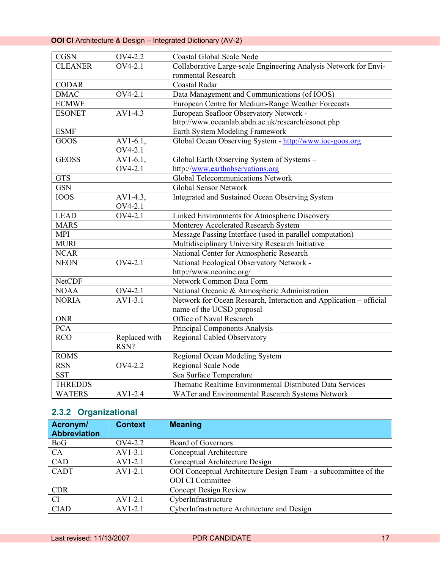#### <span id="page-16-0"></span>**OOI CI** Architecture & Design – Integrated Dictionary (AV-2)

| <b>CGSN</b>    | OV4-2.2       | Coastal Global Scale Node                                          |
|----------------|---------------|--------------------------------------------------------------------|
| <b>CLEANER</b> | OV4-2.1       | Collaborative Large-scale Engineering Analysis Network for Envi-   |
|                |               | ronmental Research                                                 |
| <b>CODAR</b>   |               | Coastal Radar                                                      |
| <b>DMAC</b>    | OV4-2.1       | Data Management and Communications (of IOOS)                       |
| <b>ECMWF</b>   |               | European Centre for Medium-Range Weather Forecasts                 |
| <b>ESONET</b>  | $AV1-4.3$     | European Seafloor Observatory Network -                            |
|                |               | http://www.oceanlab.abdn.ac.uk/research/esonet.php                 |
| <b>ESMF</b>    |               | Earth System Modeling Framework                                    |
| GOOS           | $AV1-6.1,$    | Global Ocean Observing System - http://www.ioc-goos.org            |
|                | OV4-2.1       |                                                                    |
| <b>GEOSS</b>   | $AV1-6.1,$    | Global Earth Observing System of Systems -                         |
|                | OV4-2.1       | http://www.earthobservations.org                                   |
| <b>GTS</b>     |               | Global Telecommunications Network                                  |
| <b>GSN</b>     |               | Global Sensor Network                                              |
| <b>IOOS</b>    | $AV1-4.3$ ,   | Integrated and Sustained Ocean Observing System                    |
|                | OV4-2.1       |                                                                    |
| <b>LEAD</b>    | OV4-2.1       | Linked Environments for Atmospheric Discovery                      |
| <b>MARS</b>    |               | Monterey Accelerated Research System                               |
| <b>MPI</b>     |               | Message Passing Interface (used in parallel computation)           |
| <b>MURI</b>    |               | Multidisciplinary University Research Initiative                   |
| <b>NCAR</b>    |               | National Center for Atmospheric Research                           |
| <b>NEON</b>    | OV4-2.1       | National Ecological Observatory Network -                          |
|                |               | http://www.neoninc.org/                                            |
| <b>NetCDF</b>  |               | Network Common Data Form                                           |
| <b>NOAA</b>    | OV4-2.1       | National Oceanic & Atmospheric Administration                      |
| <b>NORIA</b>   | $AV1-3.1$     | Network for Ocean Research, Interaction and Application - official |
|                |               | name of the UCSD proposal                                          |
| <b>ONR</b>     |               | Office of Naval Research                                           |
| <b>PCA</b>     |               | Principal Components Analysis                                      |
| <b>RCO</b>     | Replaced with | <b>Regional Cabled Observatory</b>                                 |
|                | RSN?          |                                                                    |
| <b>ROMS</b>    |               | Regional Ocean Modeling System                                     |
| <b>RSN</b>     | OV4-2.2       | Regional Scale Node                                                |
| <b>SST</b>     |               | Sea Surface Temperature                                            |
| <b>THREDDS</b> |               | Thematic Realtime Environmental Distributed Data Services          |
| <b>WATERS</b>  | $AV1-2.4$     | WATer and Environmental Research Systems Network                   |

# **2.3.2 Organizational**

| Acronym/<br><b>Abbreviation</b> | <b>Context</b> | <b>Meaning</b>                                                  |
|---------------------------------|----------------|-----------------------------------------------------------------|
| <b>BoG</b>                      | OV4-2.2        | Board of Governors                                              |
| CA                              | $AV1-3.1$      | Conceptual Architecture                                         |
| CAD                             | $AV1-2.1$      | Conceptual Architecture Design                                  |
| <b>CADT</b>                     | $AV1-2.1$      | OOI Conceptual Architecture Design Team - a subcommittee of the |
|                                 |                | <b>OOI</b> CI Committee                                         |
| <b>CDR</b>                      |                | <b>Concept Design Review</b>                                    |
| <b>CI</b>                       | $AV1-2.1$      | CyberInfrastructure                                             |
| <b>CIAD</b>                     | $AV1-2.1$      | CyberInfrastructure Architecture and Design                     |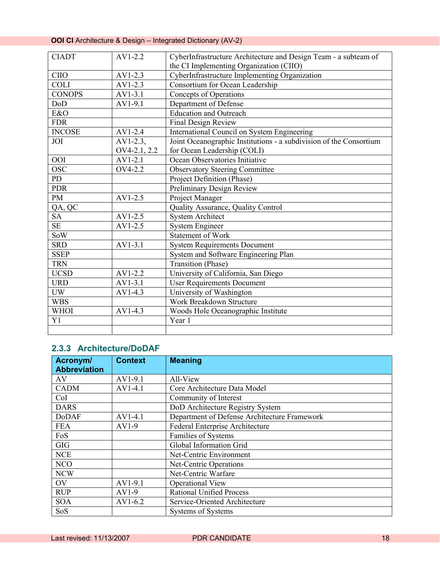# <span id="page-17-0"></span>**OOI CI** Architecture & Design – Integrated Dictionary (AV-2)

| <b>CIADT</b>   | $AV1-2.2$    | CyberInfrastructure Architecture and Design Team - a subteam of    |
|----------------|--------------|--------------------------------------------------------------------|
|                |              | the CI Implementing Organization (CIIO)                            |
| <b>CIIO</b>    | $AV1-2.3$    | CyberInfrastructure Implementing Organization                      |
| <b>COLI</b>    | $AV1-2.3$    | Consortium for Ocean Leadership                                    |
| <b>CONOPS</b>  | $AV1-3.1$    | Concepts of Operations                                             |
| DoD            | AV1-9.1      | Department of Defense                                              |
| E&O            |              | <b>Education</b> and Outreach                                      |
| <b>FDR</b>     |              | Final Design Review                                                |
| <b>INCOSE</b>  | $AV1-2.4$    | International Council on System Engineering                        |
| JOI            | $AV1-2.3$ ,  | Joint Oceanographic Institutions - a subdivision of the Consortium |
|                | OV4-2.1, 2.2 | for Ocean Leadership (COLI)                                        |
| <b>OOI</b>     | $AV1-2.1$    | Ocean Observatories Initiative                                     |
| <b>OSC</b>     | OV4-2.2      | <b>Observatory Steering Committee</b>                              |
| P <sub>D</sub> |              | Project Definition (Phase)                                         |
| <b>PDR</b>     |              | Preliminary Design Review                                          |
| <b>PM</b>      | AV1-2.5      | Project Manager                                                    |
| QA, QC         |              | Quality Assurance, Quality Control                                 |
| <b>SA</b>      | AV1-2.5      | <b>System Architect</b>                                            |
| <b>SE</b>      | $AV1-2.5$    | <b>System Engineer</b>                                             |
| SoW            |              | <b>Statement of Work</b>                                           |
| <b>SRD</b>     | $AV1-3.1$    | <b>System Requirements Document</b>                                |
| <b>SSEP</b>    |              | System and Software Engineering Plan                               |
| <b>TRN</b>     |              | Transition (Phase)                                                 |
| <b>UCSD</b>    | AV1-2.2      | University of California, San Diego                                |
| <b>URD</b>     | $AV1-3.1$    | <b>User Requirements Document</b>                                  |
| <b>UW</b>      | AV1-4.3      | University of Washington                                           |
| <b>WBS</b>     |              | Work Breakdown Structure                                           |
| <b>WHOI</b>    | $AV1-4.3$    | Woods Hole Oceanographic Institute                                 |
| Y1             |              | Year 1                                                             |
|                |              |                                                                    |

#### **2.3.3 Architecture/DoDAF**

| Acronym/            | <b>Context</b> | <b>Meaning</b>                               |
|---------------------|----------------|----------------------------------------------|
| <b>Abbreviation</b> |                |                                              |
| AV                  | AV1-9.1        | All-View                                     |
| <b>CADM</b>         | $AV1-4.1$      | Core Architecture Data Model                 |
| CoI                 |                | Community of Interest                        |
| <b>DARS</b>         |                | DoD Architecture Registry System             |
| <b>DoDAF</b>        | $AV1-4.1$      | Department of Defense Architecture Framework |
| <b>FEA</b>          | AV1-9          | Federal Enterprise Architecture              |
| FoS                 |                | Families of Systems                          |
| <b>GIG</b>          |                | Global Information Grid                      |
| <b>NCE</b>          |                | Net-Centric Environment                      |
| <b>NCO</b>          |                | Net-Centric Operations                       |
| <b>NCW</b>          |                | Net-Centric Warfare                          |
| <b>OV</b>           | $AV1-9.1$      | Operational View                             |
| <b>RUP</b>          | $AV1-9$        | <b>Rational Unified Process</b>              |
| <b>SOA</b>          | $AV1-6.2$      | Service-Oriented Architecture                |
| SoS                 |                | <b>Systems of Systems</b>                    |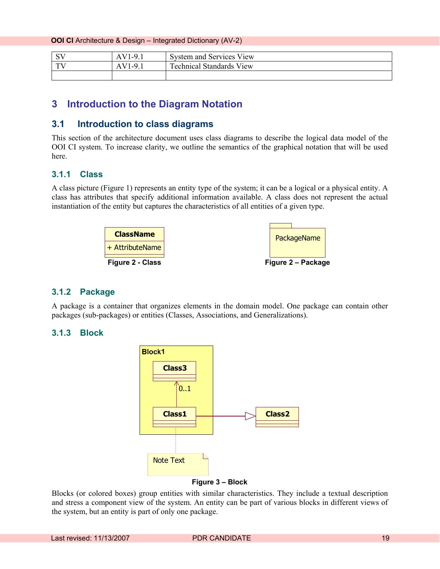<span id="page-18-0"></span>**OOI CI** Architecture & Design – Integrated Dictionary (AV-2)

| $\alpha x$ | $1-9.1$  | System and Services View               |
|------------|----------|----------------------------------------|
| TTI        | 1-9<br>л | $\sqrt{2}$<br>Fechnical Standards View |
|            |          |                                        |

#### **3 Introduction to the Diagram Notation**

#### **3.1 Introduction to class diagrams**

This section of the architecture document uses class diagrams to describe the logical data model of the OOI CI system. To increase clarity, we outline the semantics of the graphical notation that will be used here.

#### **3.1.1 Class**

A class picture (Figure 1) represents an entity type of the system; it can be a logical or a physical entity. A class has attributes that specify additional information available. A class does not represent the actual instantiation of the entity but captures the characteristics of all entities of a given type.



#### **3.1.2 Package**

A package is a container that organizes elements in the domain model. One package can contain other packages (sub-packages) or entities (Classes, Associations, and Generalizations).

#### **3.1.3 Block**



Blocks (or colored boxes) group entities with similar characteristics. They include a textual description and stress a component view of the system. An entity can be part of various blocks in different views of the system, but an entity is part of only one package.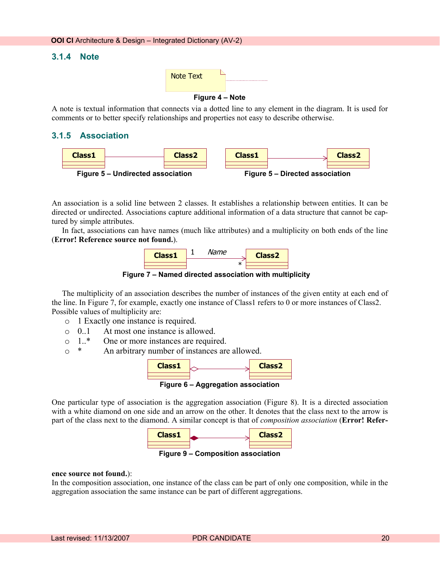#### <span id="page-19-0"></span>**3.1.4 Note**



A note is textual information that connects via a dotted line to any element in the diagram. It is used for comments or to better specify relationships and properties not easy to describe otherwise.

#### **3.1.5 Association**



An association is a solid line between 2 classes. It establishes a relationship between entities. It can be directed or undirected. Associations capture additional information of a data structure that cannot be captured by simple attributes.

In fact, associations can have names (much like attributes) and a multiplicity on both ends of the line (**Error! Reference source not found.**).



**Figure 7 – Named directed association with multiplicity** 

The multiplicity of an association describes the number of instances of the given entity at each end of the line. In Figure 7, for example, exactly one instance of Class1 refers to 0 or more instances of Class2. Possible values of multiplicity are:

- o 1 Exactly one instance is required.
- o 0..1 At most one instance is allowed.
- o 1..\* One or more instances are required.
- o \* An arbitrary number of instances are allowed.



**Figure 6 – Aggregation association** 

One particular type of association is the aggregation association (Figure 8). It is a directed association with a white diamond on one side and an arrow on the other. It denotes that the class next to the arrow is part of the class next to the diamond. A similar concept is that of *composition association* (**Error! Refer-**



**Figure 9 – Composition association** 

#### **ence source not found.**):

In the composition association, one instance of the class can be part of only one composition, while in the aggregation association the same instance can be part of different aggregations.